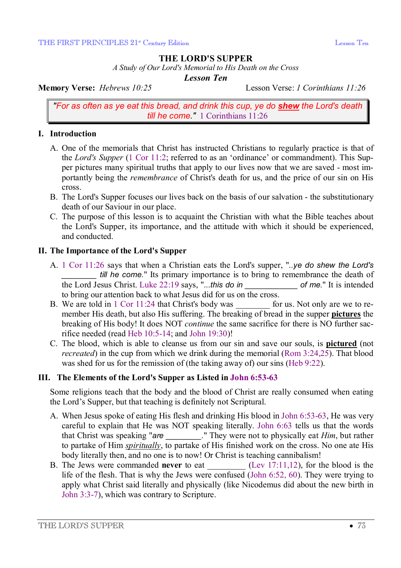### **THE LORD'S SUPPER**

*A Study of Our Lord's Memorial to His Death on the Cross* 

*Lesson Ten* 

**Memory Verse:** *Hebrews 10:25* Lesson Verse: *1 Corinthians 11:26*

*"For as often as ye eat this bread, and drink this cup, ye do shew the Lord's death till he come."* 1 Corinthians 11:26

### **I. Introduction**

- A. One of the memorials that Christ has instructed Christians to regularly practice is that of the *Lord's Supper* (1 Cor 11:2; referred to as an 'ordinance' or commandment). This Supper pictures many spiritual truths that apply to our lives now that we are saved - most importantly being the *remembrance* of Christ's death for us, and the price of our sin on His cross.
- B. The Lord's Supper focuses our lives back on the basis of our salvation the substitutionary death of our Saviour in our place.
- C. The purpose of this lesson is to acquaint the Christian with what the Bible teaches about the Lord's Supper, its importance, and the attitude with which it should be experienced, and conducted.

### **II. The Importance of the Lord's Supper**

- A. 1 Cor 11:26 says that when a Christian eats the Lord's supper, "*..ye do shew the Lord's till he come.*" Its primary importance is to bring to remembrance the death of the Lord Jesus Christ. Luke 22:19 says, "*...this do in \_\_\_\_\_\_\_\_\_\_\_\_ of me.*" It is intended to bring our attention back to what Jesus did for us on the cross.
- B. We are told in 1 Cor 11:24 that Christ's body was *for us.* Not only are we to remember His death, but also His suffering. The breaking of bread in the supper **pictures** the breaking of His body! It does NOT *continue* the same sacrifice for there is NO further sacrifice needed (read Heb 10:5-14; and John 19:30)!
- C. The blood, which is able to cleanse us from our sin and save our souls, is **pictured** (not *recreated*) in the cup from which we drink during the memorial (Rom 3:24,25). That blood was shed for us for the remission of (the taking away of) our sins (Heb 9:22).

# **III. The Elements of the Lord's Supper as Listed in John 6:53-63**

Some religions teach that the body and the blood of Christ are really consumed when eating the Lord's Supper, but that teaching is definitely not Scriptural.

- A. When Jesus spoke of eating His flesh and drinking His blood in John 6:53-63, He was very careful to explain that He was NOT speaking literally. John 6:63 tells us that the words that Christ was speaking "*are \_\_\_\_\_\_\_\_.*" They were not to physically eat *Him*, but rather to partake of Him *spiritually*, to partake of His finished work on the cross. No one ate His body literally then, and no one is to now! Or Christ is teaching cannibalism!
- B. The Jews were commanded **never** to eat \_\_\_\_\_\_\_\_\_ (Lev 17:11,12), for the blood is the life of the flesh. That is why the Jews were confused (John 6:52, 60). They were trying to apply what Christ said literally and physically (like Nicodemus did about the new birth in John 3:3-7), which was contrary to Scripture.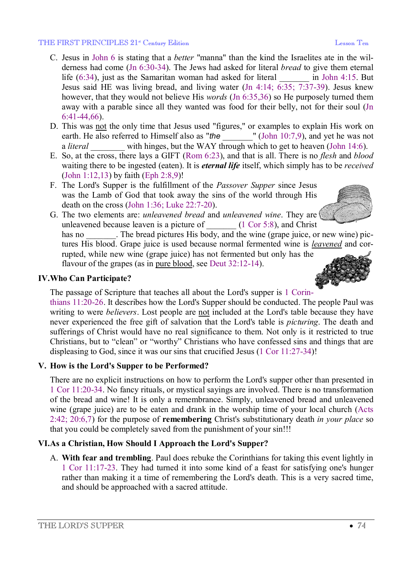#### THE FIRST PRINCIPLES 21<sup>\*</sup> Century Edition **Example 2014** Lesson Ten

- C. Jesus in John 6 is stating that a *better* "manna" than the kind the Israelites ate in the wilderness had come (Jn 6:30-34). The Jews had asked for literal *bread* to give them eternal life (6:34), just as the Samaritan woman had asked for literal *\_\_\_\_\_\_\_* in John 4:15. But Jesus said HE was living bread, and living water (Jn 4:14; 6:35; 7:37-39). Jesus knew however, that they would not believe His *words* (Jn 6:35,36) so He purposely turned them away with a parable since all they wanted was food for their belly, not for their soul (Jn 6:41-44,66).
- D. This was not the only time that Jesus used "figures," or examples to explain His work on earth. He also referred to Himself also as "*the*  $\blacksquare$  (John 10:7,9), and yet he was not a *literal* with hinges, but the WAY through which to get to heaven (John 14:6).
- E. So, at the cross, there lays a GIFT (Rom 6:23), and that is all. There is no *flesh* and *blood* waiting there to be ingested (eaten). It is *eternal life* itself, which simply has to be *received* (John 1:12,13) by faith (Eph 2:8,9)!
- F. The Lord's Supper is the fulfillment of the *Passover Supper* since Jesus was the Lamb of God that took away the sins of the world through His death on the cross (John 1:36; Luke 22:7-20).
- G. The two elements are: *unleavened bread* and *unleavened wine*. They are unleavened because leaven is a picture of  $(1 \text{ Cor } 5.8)$ , and Christ has no The bread pictures His body, and the wine (grape juice, or new wine) pictures His blood. Grape juice is used because normal fermented wine is *leavened* and corrupted, while new wine (grape juice) has not fermented but only has the flavour of the grapes (as in pure blood, see Deut 32:12-14).

### **IV.Who Can Participate?**

The passage of Scripture that teaches all about the Lord's supper is 1 Corin-

thians 11:20-26. It describes how the Lord's Supper should be conducted. The people Paul was writing to were *believers*. Lost people are not included at the Lord's table because they have never experienced the free gift of salvation that the Lord's table is *picturing*. The death and sufferings of Christ would have no real significance to them. Not only is it restricted to true Christians, but to "clean" or "worthy" Christians who have confessed sins and things that are displeasing to God, since it was our sins that crucified Jesus (1 Cor 11:27-34)!

# **V. How is the Lord's Supper to be Performed?**

There are no explicit instructions on how to perform the Lord's supper other than presented in 1 Cor 11:20-34. No fancy rituals, or mystical sayings are involved. There is no transformation of the bread and wine! It is only a remembrance. Simply, unleavened bread and unleavened wine (grape juice) are to be eaten and drank in the worship time of your local church (Acts 2:42; 20:6,7) for the purpose of **remembering** Christ's substitutionary death *in your place* so that you could be completely saved from the punishment of your sin!!!

# **VI.As a Christian, How Should I Approach the Lord's Supper?**

A. **With fear and trembling**. Paul does rebuke the Corinthians for taking this event lightly in 1 Cor 11:17-23. They had turned it into some kind of a feast for satisfying one's hunger rather than making it a time of remembering the Lord's death. This is a very sacred time, and should be approached with a sacred attitude.